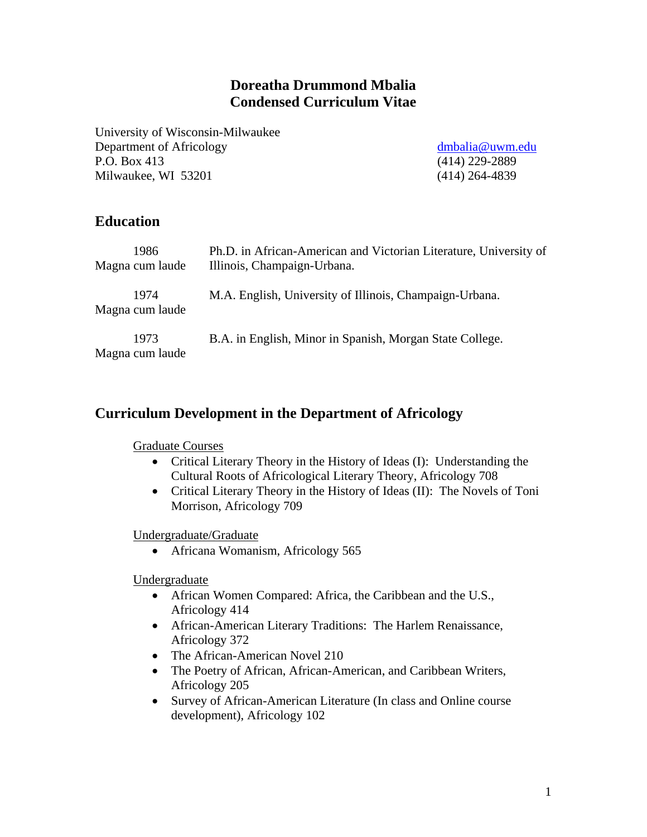# **Doreatha Drummond Mbalia Condensed Curriculum Vitae**

University of Wisconsin-Milwaukee Department of Africology dmbalia@uwm.edu P.O. Box 413 (414) 229-2889 Milwaukee, WI 53201 (414) 264-4839

# **Education**

| 1986<br>Magna cum laude | Ph.D. in African-American and Victorian Literature, University of<br>Illinois, Champaign-Urbana. |
|-------------------------|--------------------------------------------------------------------------------------------------|
| 1974<br>Magna cum laude | M.A. English, University of Illinois, Champaign-Urbana.                                          |
| 1973<br>Magna cum laude | B.A. in English, Minor in Spanish, Morgan State College.                                         |

### **Curriculum Development in the Department of Africology**

### Graduate Courses

- Critical Literary Theory in the History of Ideas (I): Understanding the Cultural Roots of Africological Literary Theory, Africology 708
- Critical Literary Theory in the History of Ideas (II): The Novels of Toni Morrison, Africology 709

### Undergraduate/Graduate

• Africana Womanism, Africology 565

Undergraduate

- African Women Compared: Africa, the Caribbean and the U.S., Africology 414
- African-American Literary Traditions: The Harlem Renaissance, Africology 372
- The African-American Novel 210
- The Poetry of African, African-American, and Caribbean Writers, Africology 205
- Survey of African-American Literature (In class and Online course development), Africology 102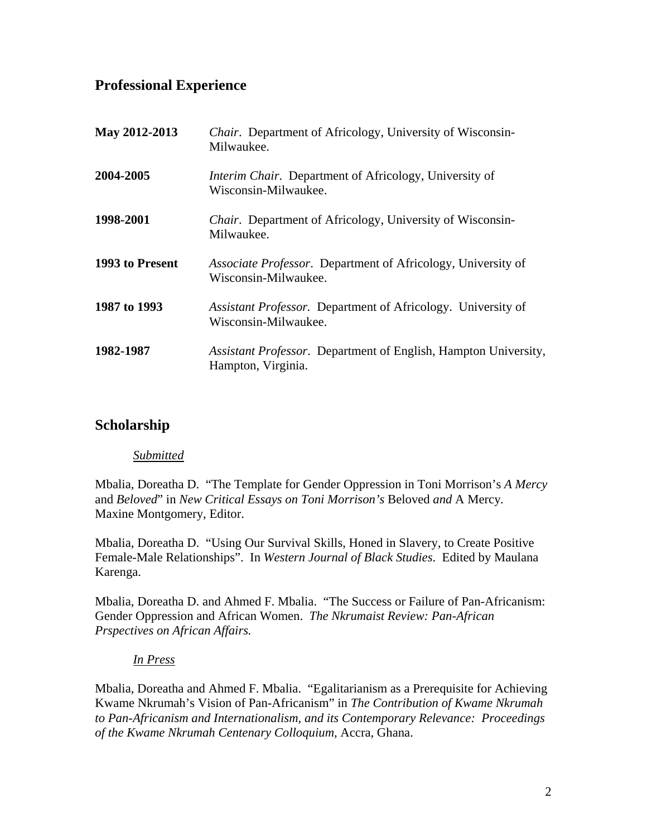# **Professional Experience**

| May 2012-2013   | <i>Chair.</i> Department of Africology, University of Wisconsin-<br>Milwaukee.        |
|-----------------|---------------------------------------------------------------------------------------|
| 2004-2005       | <i>Interim Chair.</i> Department of Africology, University of<br>Wisconsin-Milwaukee. |
| 1998-2001       | <i>Chair.</i> Department of Africology, University of Wisconsin-<br>Milwaukee.        |
| 1993 to Present | Associate Professor. Department of Africology, University of<br>Wisconsin-Milwaukee.  |
| 1987 to 1993    | Assistant Professor. Department of Africology. University of<br>Wisconsin-Milwaukee.  |
| 1982-1987       | Assistant Professor. Department of English, Hampton University,<br>Hampton, Virginia. |

# **Scholarship**

### *Submitted*

Mbalia, Doreatha D. "The Template for Gender Oppression in Toni Morrison's *A Mercy* and *Beloved*" in *New Critical Essays on Toni Morrison's* Beloved *and* A Mercy*.*  Maxine Montgomery, Editor.

Mbalia, Doreatha D. "Using Our Survival Skills, Honed in Slavery, to Create Positive Female-Male Relationships". In *Western Journal of Black Studies*. Edited by Maulana Karenga.

Mbalia, Doreatha D. and Ahmed F. Mbalia. "The Success or Failure of Pan-Africanism: Gender Oppression and African Women. *The Nkrumaist Review: Pan-African Prspectives on African Affairs.*

### *In Press*

Mbalia, Doreatha and Ahmed F. Mbalia. "Egalitarianism as a Prerequisite for Achieving Kwame Nkrumah's Vision of Pan-Africanism" in *The Contribution of Kwame Nkrumah to Pan-Africanism and Internationalism, and its Contemporary Relevance: Proceedings of the Kwame Nkrumah Centenary Colloquium*, Accra, Ghana.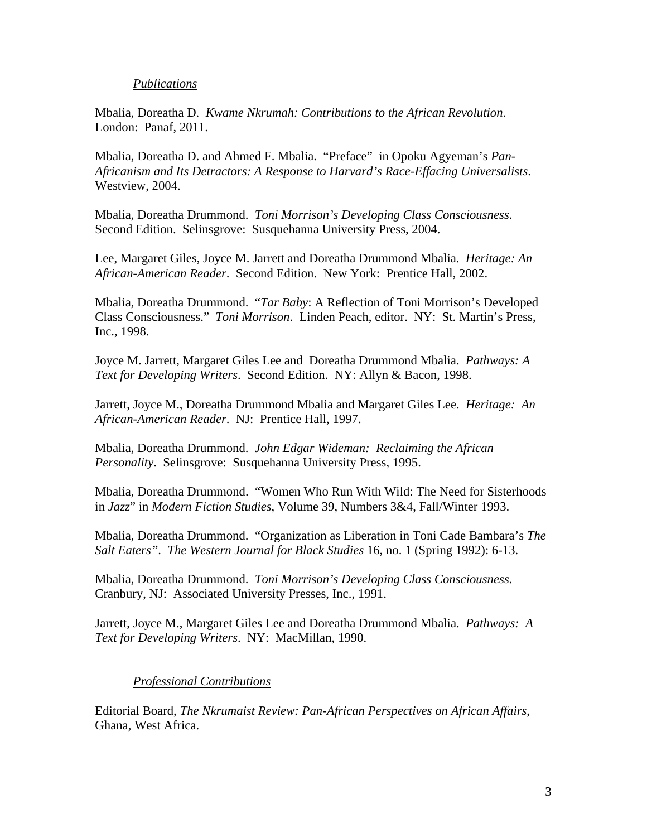#### *Publications*

Mbalia, Doreatha D. *Kwame Nkrumah: Contributions to the African Revolution*. London: Panaf, 2011.

Mbalia, Doreatha D. and Ahmed F. Mbalia. "Preface" in Opoku Agyeman's *Pan-Africanism and Its Detractors: A Response to Harvard's Race-Effacing Universalists*. Westview, 2004.

Mbalia, Doreatha Drummond. *Toni Morrison's Developing Class Consciousness*. Second Edition. Selinsgrove: Susquehanna University Press, 2004.

Lee, Margaret Giles, Joyce M. Jarrett and Doreatha Drummond Mbalia. *Heritage: An African-American Reader*. Second Edition. New York: Prentice Hall, 2002.

Mbalia, Doreatha Drummond. "*Tar Baby*: A Reflection of Toni Morrison's Developed Class Consciousness." *Toni Morrison*. Linden Peach, editor. NY: St. Martin's Press, Inc., 1998.

Joyce M. Jarrett, Margaret Giles Lee and Doreatha Drummond Mbalia. *Pathways: A Text for Developing Writers*. Second Edition. NY: Allyn & Bacon, 1998.

Jarrett, Joyce M., Doreatha Drummond Mbalia and Margaret Giles Lee. *Heritage: An African-American Reader*. NJ: Prentice Hall, 1997.

Mbalia, Doreatha Drummond. *John Edgar Wideman: Reclaiming the African Personality*. Selinsgrove: Susquehanna University Press, 1995.

Mbalia, Doreatha Drummond. "Women Who Run With Wild: The Need for Sisterhoods in *Jazz*" in *Modern Fiction Studies*, Volume 39, Numbers 3&4, Fall/Winter 1993.

Mbalia, Doreatha Drummond. "Organization as Liberation in Toni Cade Bambara's *The Salt Eaters"*. *The Western Journal for Black Studies* 16, no. 1 (Spring 1992): 6-13.

Mbalia, Doreatha Drummond. *Toni Morrison's Developing Class Consciousness*. Cranbury, NJ: Associated University Presses, Inc., 1991.

Jarrett, Joyce M., Margaret Giles Lee and Doreatha Drummond Mbalia. *Pathways: A Text for Developing Writers*. NY: MacMillan, 1990.

### *Professional Contributions*

Editorial Board, *The Nkrumaist Review: Pan-African Perspectives on African Affairs*, Ghana, West Africa.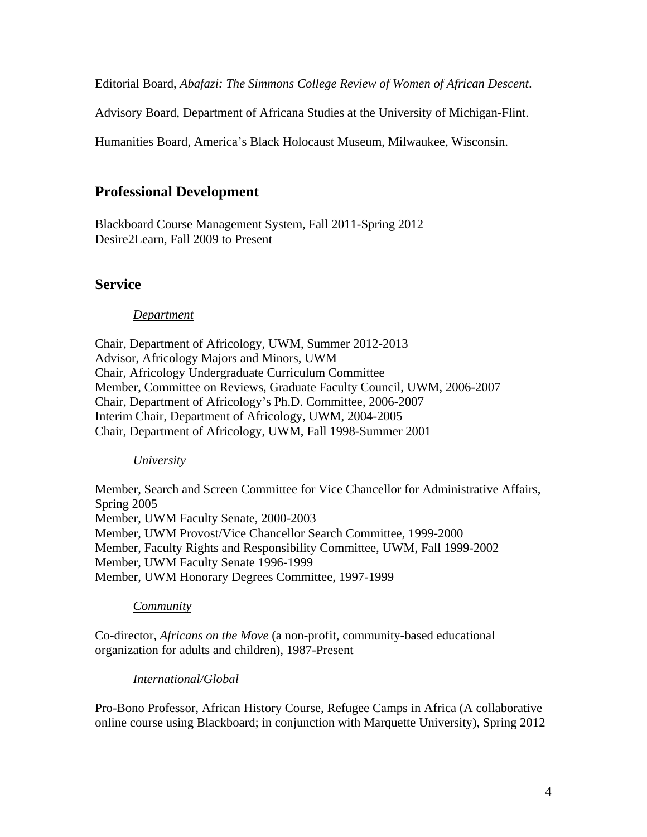Editorial Board, *Abafazi: The Simmons College Review of Women of African Descent*.

Advisory Board, Department of Africana Studies at the University of Michigan-Flint.

Humanities Board, America's Black Holocaust Museum, Milwaukee, Wisconsin.

### **Professional Development**

Blackboard Course Management System, Fall 2011-Spring 2012 Desire2Learn, Fall 2009 to Present

### **Service**

#### *Department*

Chair, Department of Africology, UWM, Summer 2012-2013 Advisor, Africology Majors and Minors, UWM Chair, Africology Undergraduate Curriculum Committee Member, Committee on Reviews, Graduate Faculty Council, UWM, 2006-2007 Chair, Department of Africology's Ph.D. Committee, 2006-2007 Interim Chair, Department of Africology, UWM, 2004-2005 Chair, Department of Africology, UWM, Fall 1998-Summer 2001

#### *University*

Member, Search and Screen Committee for Vice Chancellor for Administrative Affairs, Spring 2005 Member, UWM Faculty Senate, 2000-2003 Member, UWM Provost/Vice Chancellor Search Committee, 1999-2000 Member, Faculty Rights and Responsibility Committee, UWM, Fall 1999-2002 Member, UWM Faculty Senate 1996-1999 Member, UWM Honorary Degrees Committee, 1997-1999

#### *Community*

Co-director, *Africans on the Move* (a non-profit, community-based educational organization for adults and children), 1987-Present

### *International/Global*

Pro-Bono Professor, African History Course, Refugee Camps in Africa (A collaborative online course using Blackboard; in conjunction with Marquette University), Spring 2012